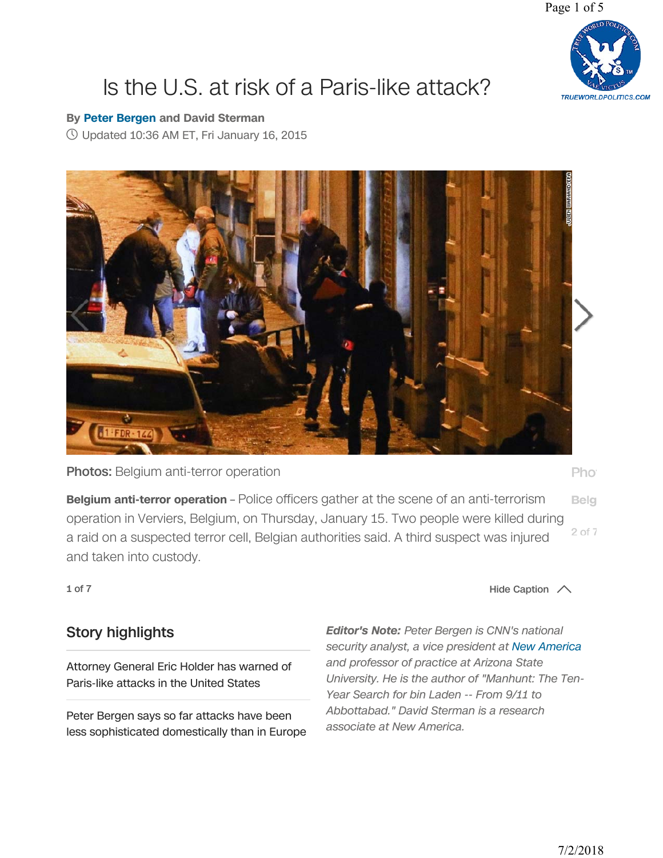Page 1 of 5



## [Is the U.S. at risk of a Paris-like attack?](https://www.cnn.com/2015/01/16/opinion/bergen-paris-attacks-likelihood-in-us/index.html)

## **By Peter Bergen and David Sterman**

Updated 10:36 AM ET, Fri January 16, 2015



Photos: Belgium anti-terror operation

Pho<sup>®</sup>

**Belgium anti-terror operation** – Police officers gather at the scene of an anti-terrorism Belg operation in Verviers, Belgium, on Thursday, January 15. Two people were killed during 2 of 7 a raid on a suspected terror cell, Belgian authorities said. A third suspect was injured and taken into custody.

1 of 7  $\sim$  1 of 7

## Story highlights

Attorney General Eric Holder has warned of Paris-like attacks in the United States

Peter Bergen says so far attacks have been less sophisticated domestically than in Europe *Editor's Note:* Peter Bergen is CNN's national security analyst, a vice president at New America and professor of practice at Arizona State University. He is the author of "Manhunt: The Ten-Year Search for bin Laden -- From 9/11 to Abbottabad." David Sterman is a research associate at New America.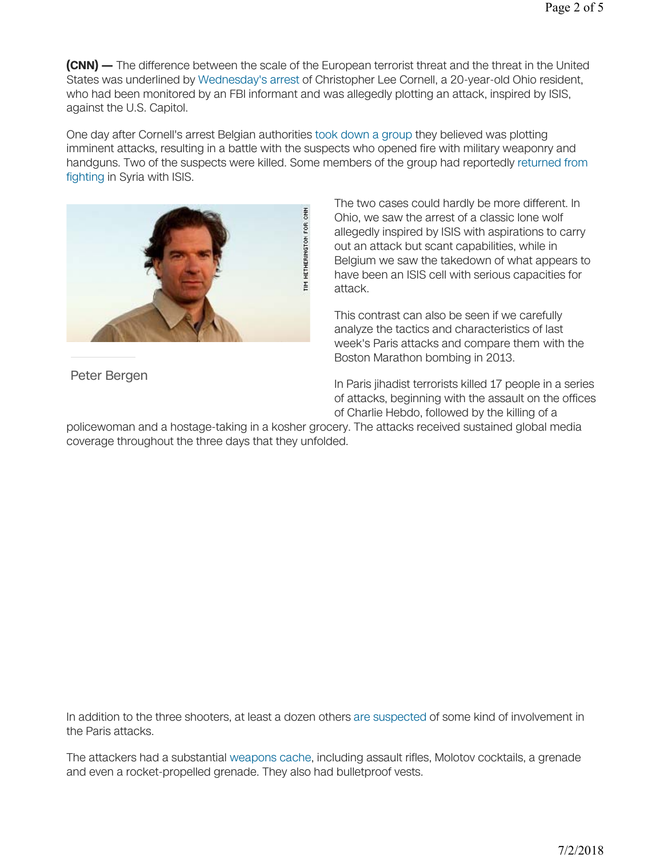**(CNN) —** The difference between the scale of the European terrorist threat and the threat in the United States was underlined by Wednesday's arrest of Christopher Lee Cornell, a 20-year-old Ohio resident, who had been monitored by an FBI informant and was allegedly plotting an attack, inspired by ISIS, against the U.S. Capitol.

One day after Cornell's arrest Belgian authorities took down a group they believed was plotting imminent attacks, resulting in a battle with the suspects who opened fire with military weaponry and handguns. Two of the suspects were killed. Some members of the group had reportedly returned from fighting in Syria with ISIS.



Peter Bergen

The two cases could hardly be more different. In Ohio, we saw the arrest of a classic lone wolf allegedly inspired by ISIS with aspirations to carry out an attack but scant capabilities, while in Belgium we saw the takedown of what appears to have been an ISIS cell with serious capacities for attack.

This contrast can also be seen if we carefully analyze the tactics and characteristics of last week's Paris attacks and compare them with the Boston Marathon bombing in 2013.

In Paris jihadist terrorists killed 17 people in a series of attacks, beginning with the assault on the offices of Charlie Hebdo, followed by the killing of a

policewoman and a hostage-taking in a kosher grocery. The attacks received sustained global media coverage throughout the three days that they unfolded.

In addition to the three shooters, at least a dozen others are suspected of some kind of involvement in the Paris attacks.

The attackers had a substantial weapons cache, including assault rifles, Molotov cocktails, a grenade and even a rocket-propelled grenade. They also had bulletproof vests.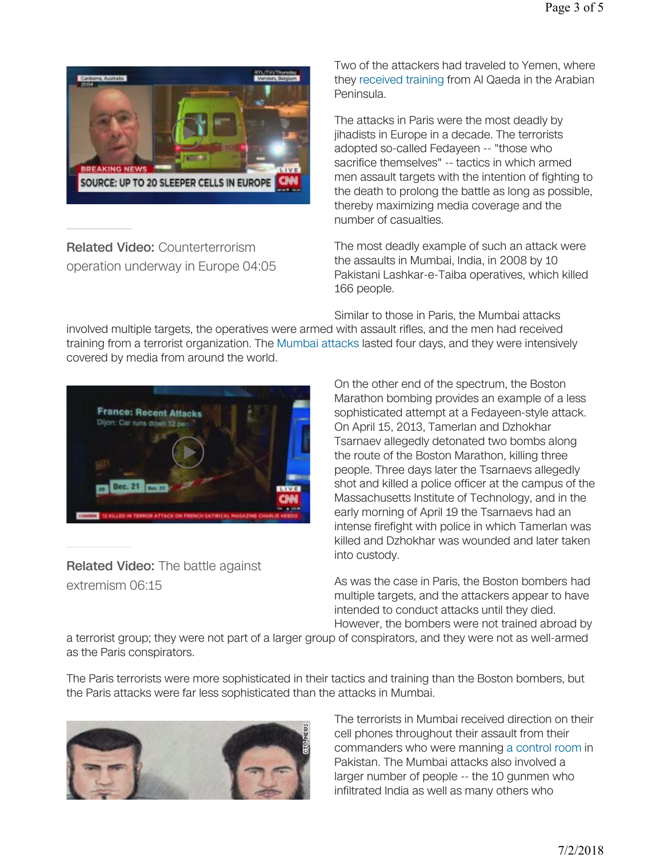

Related Video: Counterterrorism operation underway in Europe 04:05 Two of the attackers had traveled to Yemen, where they received training from Al Qaeda in the Arabian Peninsula.

The attacks in Paris were the most deadly by jihadists in Europe in a decade. The terrorists adopted so-called Fedayeen -- "those who sacrifice themselves" -- tactics in which armed men assault targets with the intention of fighting to the death to prolong the battle as long as possible, thereby maximizing media coverage and the number of casualties.

The most deadly example of such an attack were the assaults in Mumbai, India, in 2008 by 10 Pakistani Lashkar-e-Taiba operatives, which killed 166 people.

Similar to those in Paris, the Mumbai attacks

involved multiple targets, the operatives were armed with assault rifles, and the men had received training from a terrorist organization. The Mumbai attacks lasted four days, and they were intensively covered by media from around the world.



Related Video: The battle against extremism 06:15

On the other end of the spectrum, the Boston Marathon bombing provides an example of a less sophisticated attempt at a Fedayeen-style attack. On April 15, 2013, Tamerlan and Dzhokhar Tsarnaev allegedly detonated two bombs along the route of the Boston Marathon, killing three people. Three days later the Tsarnaevs allegedly shot and killed a police officer at the campus of the Massachusetts Institute of Technology, and in the early morning of April 19 the Tsarnaevs had an intense firefight with police in which Tamerlan was killed and Dzhokhar was wounded and later taken into custody.

As was the case in Paris, the Boston bombers had multiple targets, and the attackers appear to have intended to conduct attacks until they died. However, the bombers were not trained abroad by

a terrorist group; they were not part of a larger group of conspirators, and they were not as well-armed as the Paris conspirators.

The Paris terrorists were more sophisticated in their tactics and training than the Boston bombers, but the Paris attacks were far less sophisticated than the attacks in Mumbai.



The terrorists in Mumbai received direction on their cell phones throughout their assault from their commanders who were manning a control room in Pakistan. The Mumbai attacks also involved a larger number of people -- the 10 gunmen who infiltrated India as well as many others who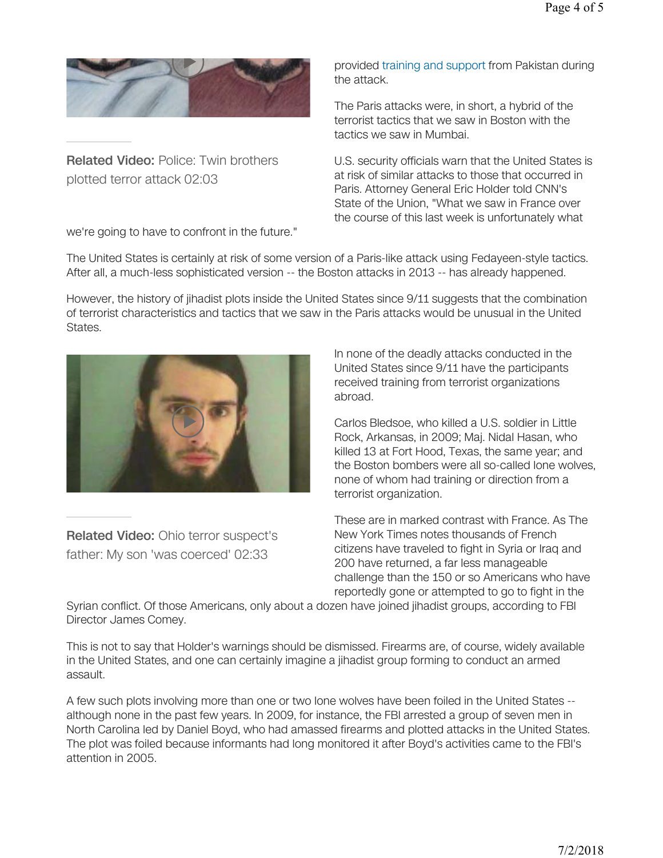

Related Video: Police: Twin brothers plotted terror attack 02:03

we're going to have to confront in the future."

provided training and support from Pakistan during the attack.

The Paris attacks were, in short, a hybrid of the terrorist tactics that we saw in Boston with the tactics we saw in Mumbai.

U.S. security officials warn that the United States is at risk of similar attacks to those that occurred in Paris. Attorney General Eric Holder told CNN's State of the Union, "What we saw in France over the course of this last week is unfortunately what

The United States is certainly at risk of some version of a Paris-like attack using Fedayeen-style tactics. After all, a much-less sophisticated version -- the Boston attacks in 2013 -- has already happened.

However, the history of jihadist plots inside the United States since 9/11 suggests that the combination of terrorist characteristics and tactics that we saw in the Paris attacks would be unusual in the United States.



Related Video: Ohio terror suspect's father: My son 'was coerced' 02:33

In none of the deadly attacks conducted in the United States since 9/11 have the participants received training from terrorist organizations abroad.

Carlos Bledsoe, who killed a U.S. soldier in Little Rock, Arkansas, in 2009; Maj. Nidal Hasan, who killed 13 at Fort Hood, Texas, the same year; and the Boston bombers were all so-called lone wolves, none of whom had training or direction from a terrorist organization.

These are in marked contrast with France. As The New York Times notes thousands of French citizens have traveled to fight in Syria or Iraq and 200 have returned, a far less manageable challenge than the 150 or so Americans who have reportedly gone or attempted to go to fight in the

Syrian conflict. Of those Americans, only about a dozen have joined jihadist groups, according to FBI Director James Comey.

This is not to say that Holder's warnings should be dismissed. Firearms are, of course, widely available in the United States, and one can certainly imagine a jihadist group forming to conduct an armed assault.

A few such plots involving more than one or two lone wolves have been foiled in the United States - although none in the past few years. In 2009, for instance, the FBI arrested a group of seven men in North Carolina led by Daniel Boyd, who had amassed firearms and plotted attacks in the United States. The plot was foiled because informants had long monitored it after Boyd's activities came to the FBI's attention in 2005.